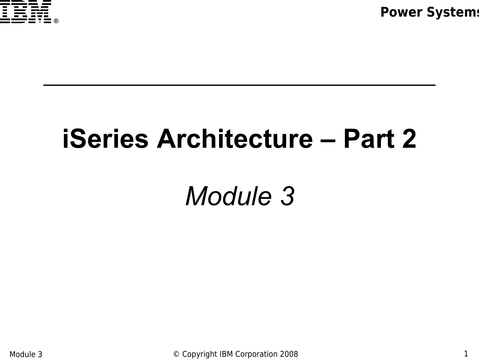

# **iSeries Architecture – Part 2**

*Module 3*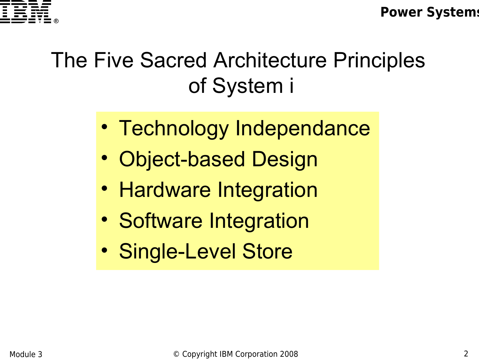

### The Five Sacred Architecture Principles of System i

- Technology Independance
- Object-based Design
- Hardware Integration
- Software Integration
- Single-Level Store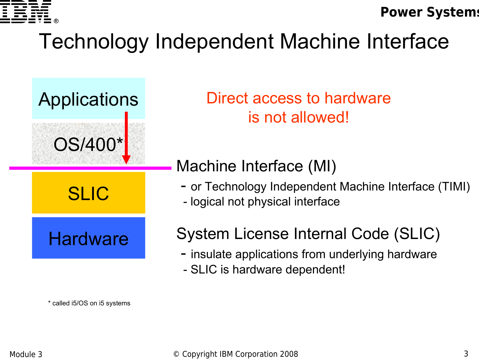

### Technology Independent Machine Interface



\* called i5/OS on i5 systems

Applications Direct access to hardware is not allowed!

#### Machine Interface (MI)

- or Technology Independent Machine Interface (TIMI)<br>- logical not physical interface
- 

#### System License Internal Code (SLIC)

- insulate applications from underlying hardware
- SLIC is hardware dependent!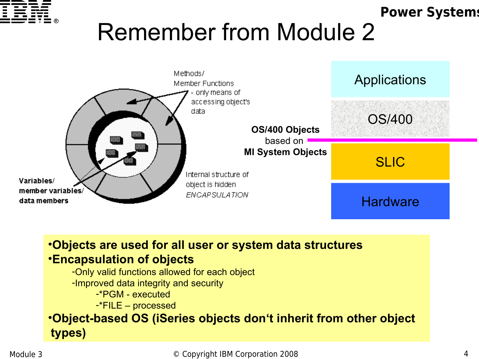

### Remember from Module 2



•**Objects are used for all user or system data structures** •**Encapsulation of objects**

-Only valid functions allowed for each object

-Improved data integrity and security

-\*PGM - executed

-\*FILE – processed

•**Object-based OS (iSeries objects don't inherit from other object types)**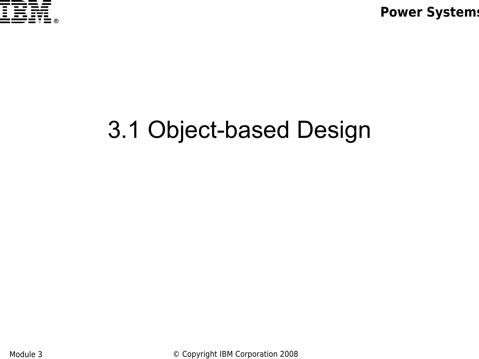

# 3.1 Object-based Design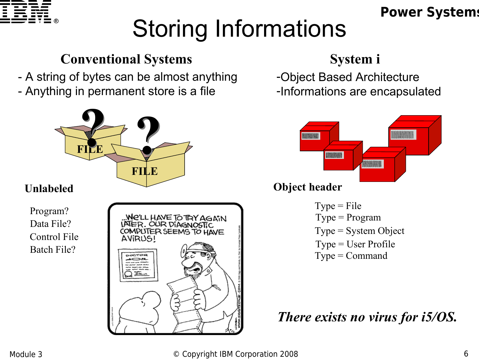

# Storing Informations

#### **Conventional Systems**

- A string of bytes can be almost anything

- Anything in permanent store is a file



#### **Unlabeled**

Program? Data File? Control File Batch File?



#### **System i**

-Object Based Architecture -Informations are encapsulated



#### **Object header**

 $Type = Program$  $Type = File$  $Type = Command$ Type = System Object Type = User Profile

*There exists no virus for i5/OS.*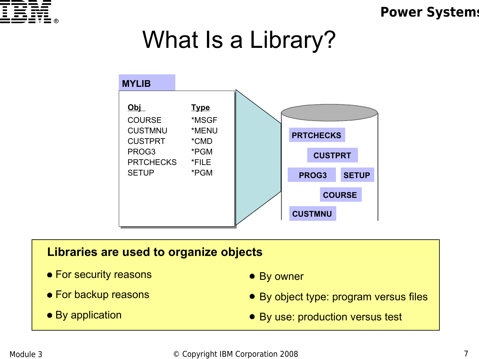

## What Is a Library?



#### **Libraries are used to organize objects**

- For security reasons
- For backup reasons
- By application
- By owner
- By object type: program versus files
- By use: production versus test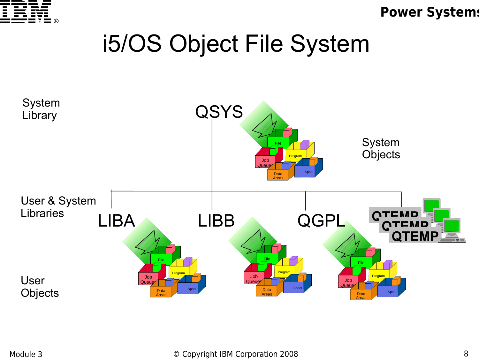

### i5/OS Object File System

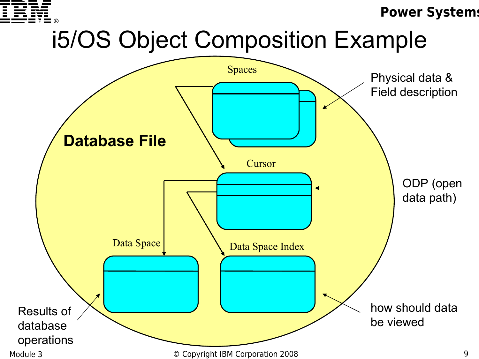

# i5/OS Object Composition Example

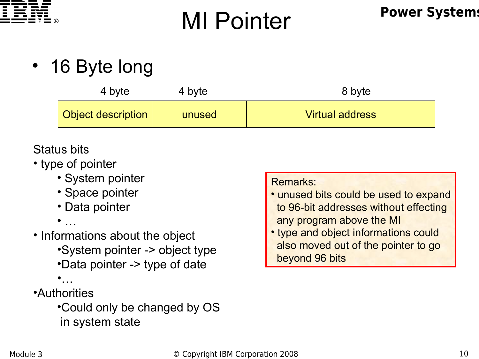

# **Power Systems** MI Pointer

• 16 Byte long

| 4 byte                    | 4 byte | 8 byte                 |  |
|---------------------------|--------|------------------------|--|
| <b>Object description</b> | unused | <b>Virtual address</b> |  |

#### Status bits

- type of pointer
	- System pointer
	- Space pointer
	- Data pointer
	- $\bullet$
- Informations about the object
	- •System pointer -> object type •Data pointer -> type of date
	- •<br>…
- •Authorities
	- •Could only be changed by OS in system state

#### Remarks:

- unused bits could be used to expand to 96-bit addresses without effecting any program above the MI
- type and object informations could also moved out of the pointer to go beyond 96 bits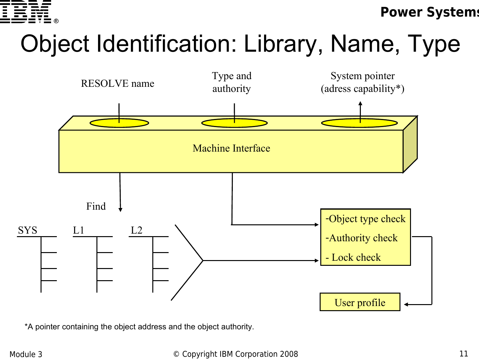

# Object Identification: Library, Name, Type



\*A pointer containing the object address and the object authority.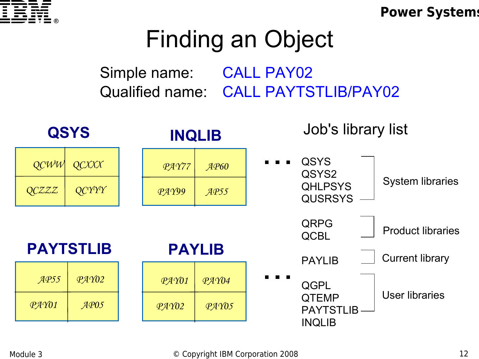

# Finding an Object

Simple name: CALL PAY02 Qualified name: CALL PAYTSTLIB/PAY02

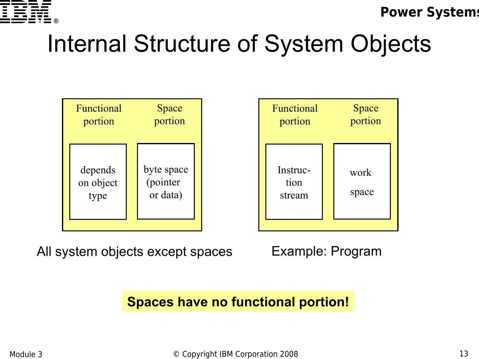

# Internal Structure of System Objects



All system objects except spaces

Example: Program

**Spaces have no functional portion!**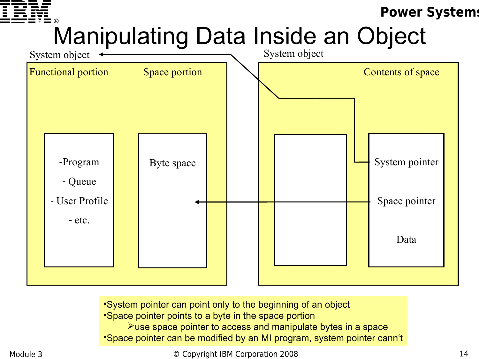

# Manipulating Data Inside an Object



•System pointer can point only to the beginning of an object

•Space pointer points to a byte in the space portion

 $\blacktriangleright$ use space pointer to access and manipulate bytes in a space

•Space pointer can be modified by an MI program, system pointer cann't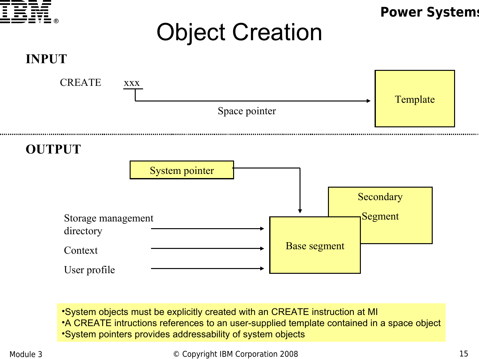

•System objects must be explicitly created with an CREATE instruction at MI

•A CREATE intructions references to an user-supplied template contained in a space object

Base segment

•System pointers provides addressability of system objects

Context

User profile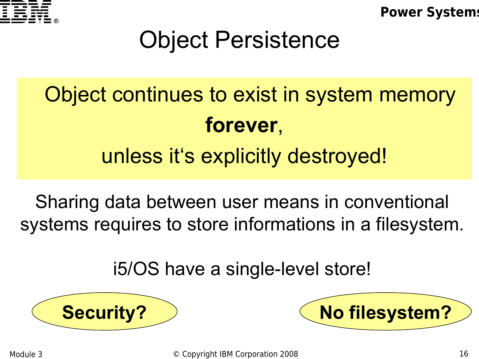

# Object Persistence

# Object continues to exist in system memory **forever**, unless it's explicitly destroyed!

Sharing data between user means in conventional systems requires to store informations in a filesystem.

i5/OS have a single-level store!



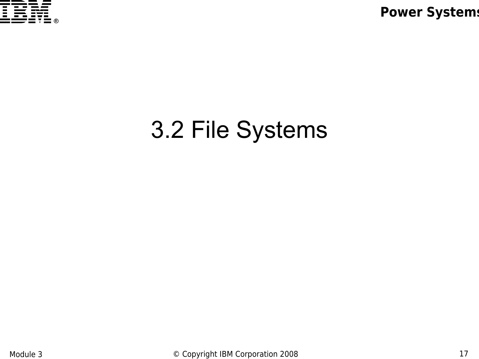

# 3.2 File Systems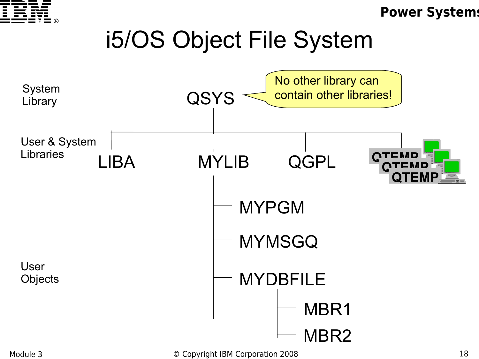

# i5/OS Object File System



Module 3 **Details Accept Convenight IBM Corporation 2008** 18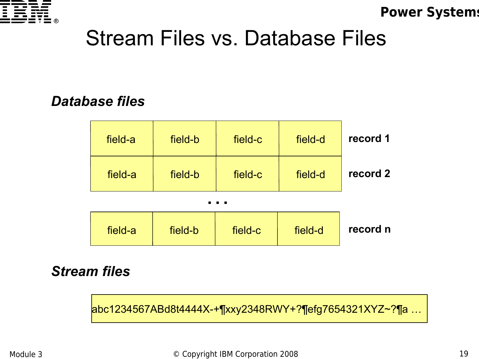

#### Stream Files vs. Database Files

#### *Database files*



#### *Stream files*

abc1234567ABd8t4444X-+¶xxy2348RWY+?¶efg7654321XYZ~?¶a …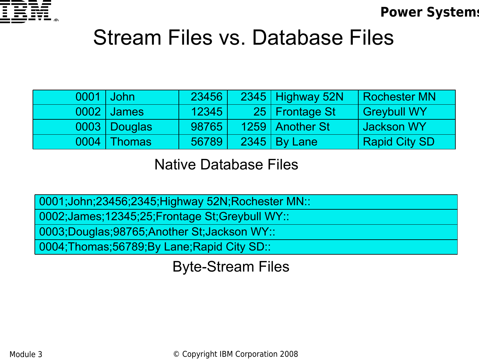

#### Stream Files vs. Database Files

| 0001 John |                | 23456 | 2345 Highway 52N      | <b>Rochester MN</b>  |
|-----------|----------------|-------|-----------------------|----------------------|
|           | 0002   James   | 12345 | 25   Frontage St      | <b>Greybull WY</b>   |
|           | 0003   Douglas | 98765 | 1259   Another St     | Jackson WY           |
| 0004      | Thomas         | 56789 | <b>2345   By Lane</b> | <b>Rapid City SD</b> |

Native Database Files

0001;John;23456;2345;Highway 52N;Rochester MN::

0002;James;12345;25;Frontage St;Greybull WY::

0003;Douglas;98765;Another St;Jackson WY::

0004;Thomas;56789;By Lane;Rapid City SD::

Byte-Stream Files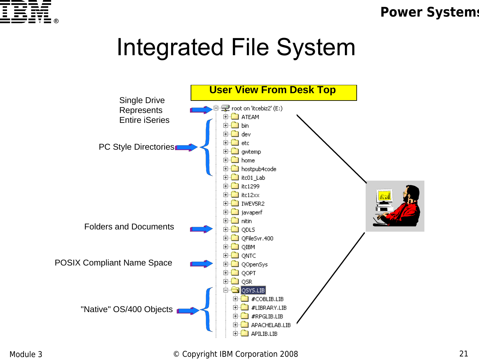

## Integrated File System

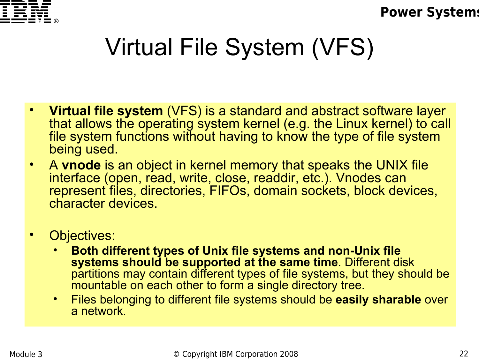

# Virtual File System (VFS)

- **Virtual file system** (VFS) is a standard and abstract software layer that allows the operating system kernel (e.g. the Linux kernel) to call file system functions without having to know the type of file system being used.
- A **vnode** is an object in kernel memory that speaks the UNIX file interface (open, read, write, close, readdir, etc.). Vnodes can represent files, directories, FIFOs, domain sockets, block devices, character devices.
- Objectives:
	- **Both different types of Unix file systems and non-Unix file systems should be supported at the same time**. Different disk partitions may contain different types of file systems, but they should be mountable on each other to form a single directory tree.
	- Files belonging to different file systems should be **easily sharable** over a network.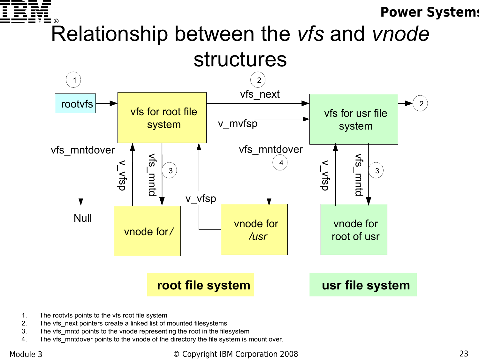

#### Relationship between the *vfs* and *vnode* structures



- 1. The rootvfs points to the vfs root file system
- 2. The vfs\_next pointers create a linked list of mounted filesystems
- 3. The vfs\_mntd points to the vnode representing the root in the filesystem
- 4. The vfs mntdover points to the vnode of the directory the file system is mount over.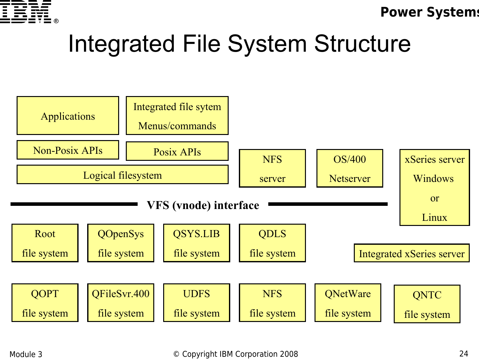

## Integrated File System Structure

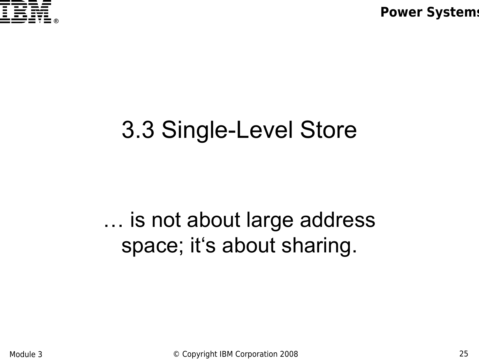

### 3.3 Single-Level Store

#### … is not about large address space; it's about sharing.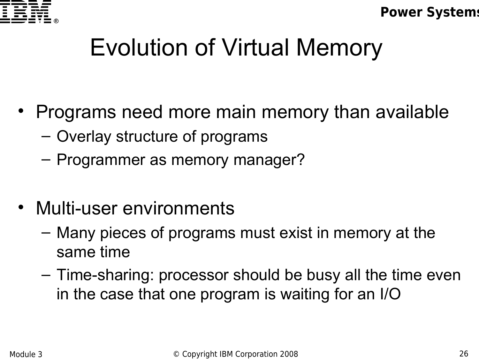

# Evolution of Virtual Memory

- Programs need more main memory than available
	- Overlay structure of programs
	- Programmer as memory manager?
- Multi-user environments
	- Many pieces of programs must exist in memory at the same time
	- Time-sharing: processor should be busy all the time even in the case that one program is waiting for an I/O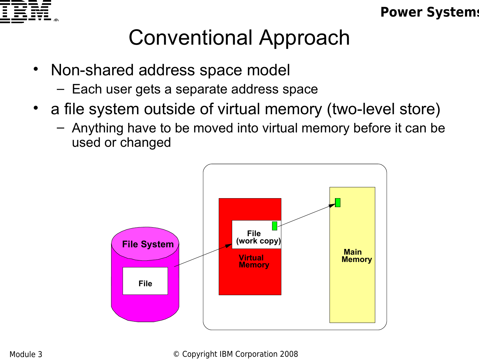

#### Conventional Approach

- Non-shared address space model
	- Each user gets a separate address space
- a file system outside of virtual memory (two-level store)
	- Anything have to be moved into virtual memory before it can be used or changed

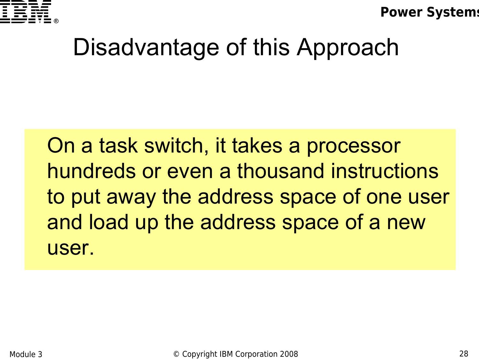

### Disadvantage of this Approach

 On a task switch, it takes a processor hundreds or even a thousand instructions to put away the address space of one user and load up the address space of a new user.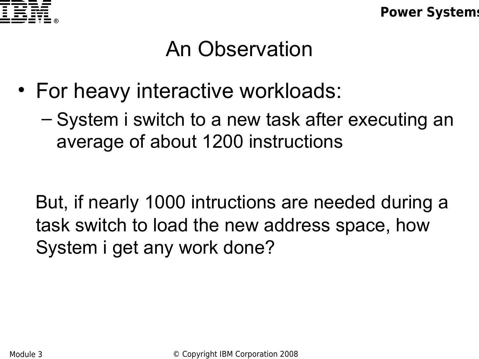

#### An Observation

- For heavy interactive workloads:
	- System i switch to a new task after executing an average of about 1200 instructions

 But, if nearly 1000 intructions are needed during a task switch to load the new address space, how System i get any work done?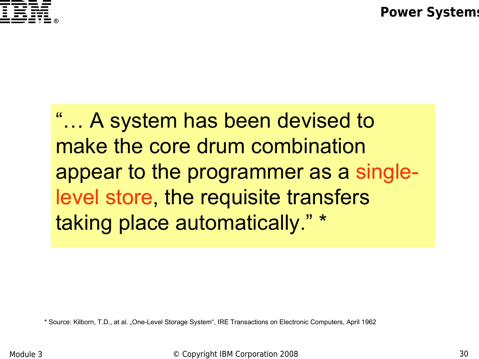

"… A system has been devised to make the core drum combination appear to the programmer as a singlelevel store, the requisite transfers taking place automatically." \*

\* Source: Kilborn, T.D., at al. "One-Level Storage System", IRE Transactions on Electronic Computers, April 1962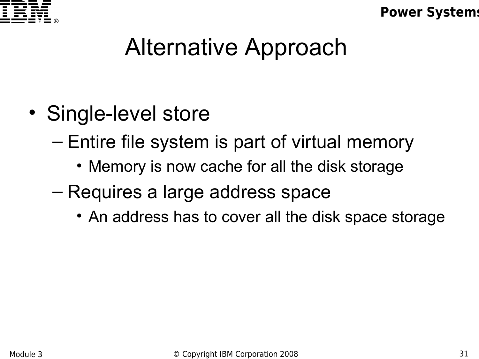

### Alternative Approach

- Single-level store
	- Entire file system is part of virtual memory
		- Memory is now cache for all the disk storage
	- Requires a large address space
		- An address has to cover all the disk space storage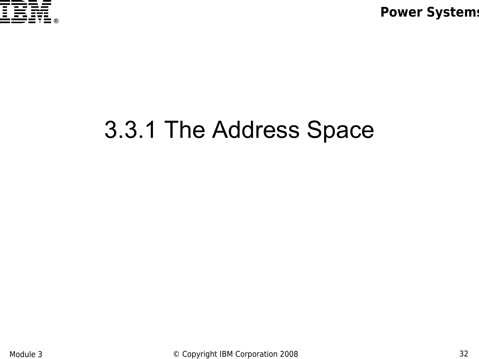

### 3.3.1 The Address Space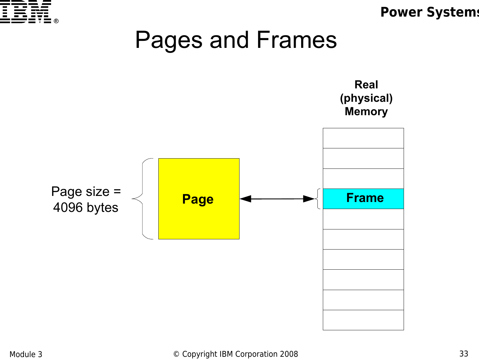

### Pages and Frames

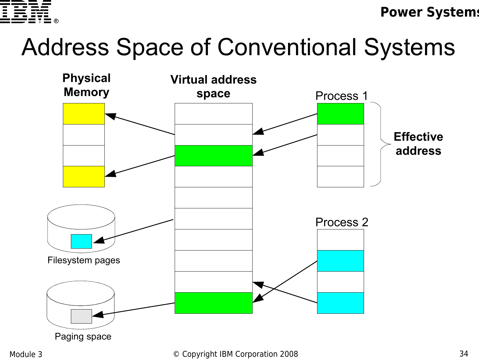

# Address Space of Conventional Systems

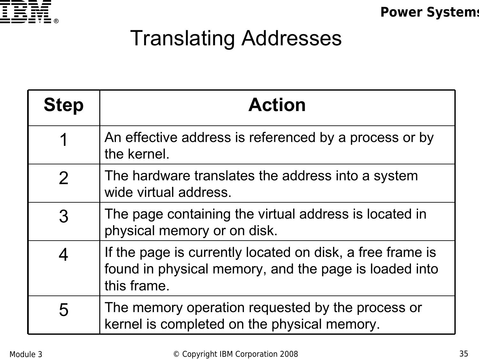

#### Translating Addresses

| <b>Step</b> | <b>Action</b>                                                                                                                     |
|-------------|-----------------------------------------------------------------------------------------------------------------------------------|
|             | An effective address is referenced by a process or by<br>the kernel.                                                              |
| 2           | The hardware translates the address into a system<br>wide virtual address.                                                        |
| 3           | The page containing the virtual address is located in<br>physical memory or on disk.                                              |
|             | If the page is currently located on disk, a free frame is<br>found in physical memory, and the page is loaded into<br>this frame. |
| 5           | The memory operation requested by the process or<br>kernel is completed on the physical memory.                                   |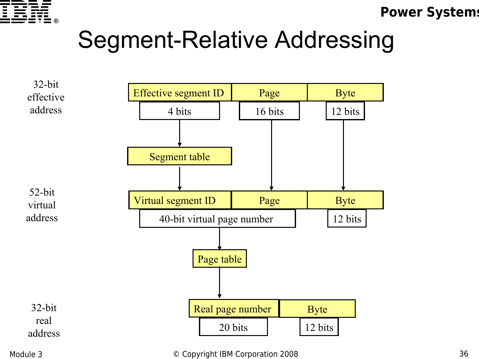

### Segment-Relative Addressing

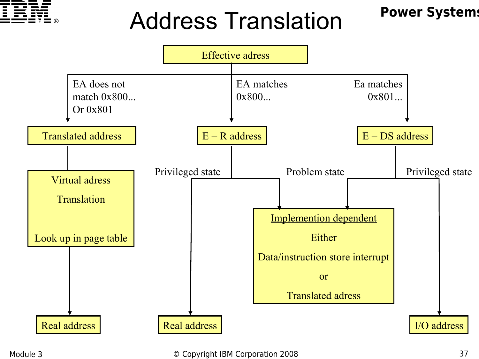

## Address Translation

#### **Power Systems**

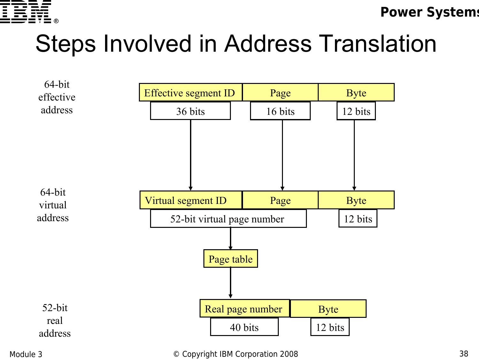

## Steps Involved in Address Translation



#### Module 3 **Details Accept Convenight IBM Corporation 2008** 38 and the state of the state of the state of the state of the state of the state of the state of the state of the state of the state of the state of the state of t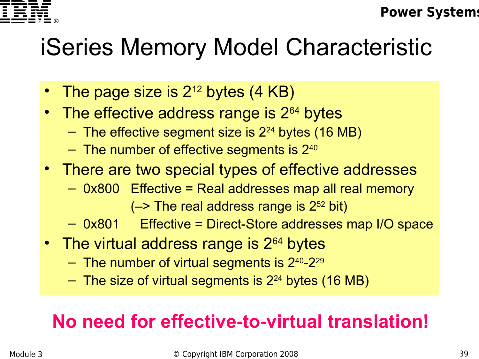

# iSeries Memory Model Characteristic

- The page size is  $2^{12}$  bytes  $(4 \text{ KB})$
- The effective address range is  $2^{64}$  bytes
	- $-$  The effective segment size is  $2^{24}$  bytes (16 MB)
	- $-$  The number of effective segments is  $2^{40}$
- There are two special types of effective addresses
	- 0x800 Effective = Real addresses map all real memory  $(-)$  The real address range is  $2^{52}$  bit)
	- 0x801 Effective = Direct-Store addresses map I/O space
- The virtual address range is  $2^{64}$  bytes
	- The number of virtual segments is  $2^{40}$ - $2^{29}$
	- $-$  The size of virtual segments is  $2^{24}$  bytes (16 MB)

#### **No need for effective-to-virtual translation!**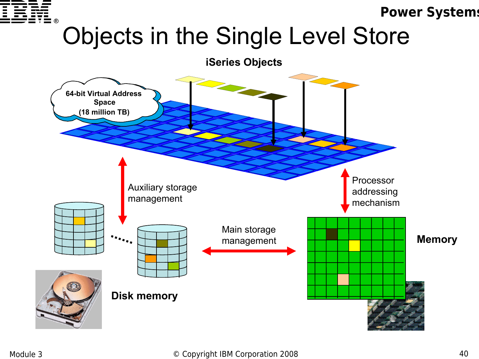

## Objects in the Single Level Store

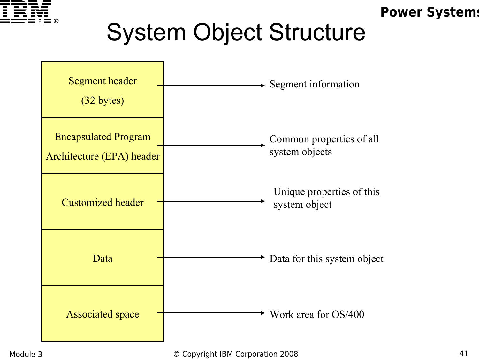

# System Object Structure



#### Module 3 **Details Accept Convenight IBM Corporation 2008** 41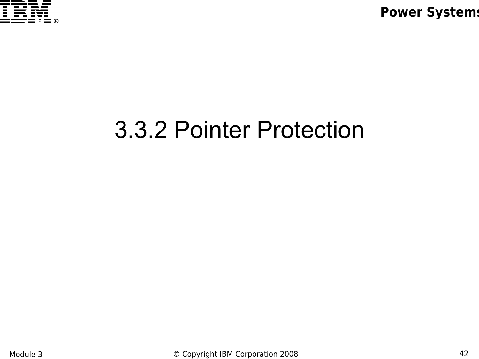

### 3.3.2 Pointer Protection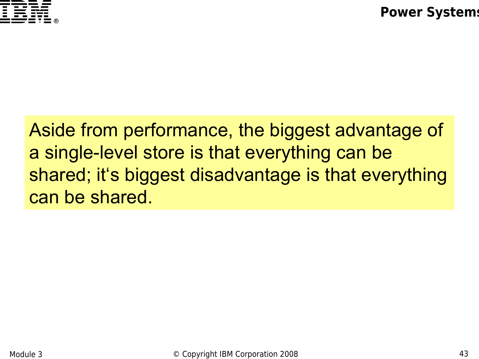

Aside from performance, the biggest advantage of a single-level store is that everything can be shared; it's biggest disadvantage is that everything can be shared.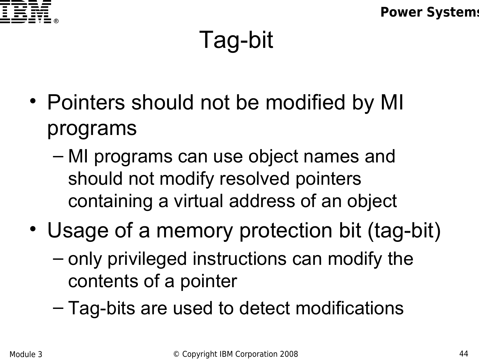

## Tag-bit

- Pointers should not be modified by MI programs
	- MI programs can use object names and should not modify resolved pointers containing a virtual address of an object
- Usage of a memory protection bit (tag-bit)
	- only privileged instructions can modify the contents of a pointer
	- Tag-bits are used to detect modifications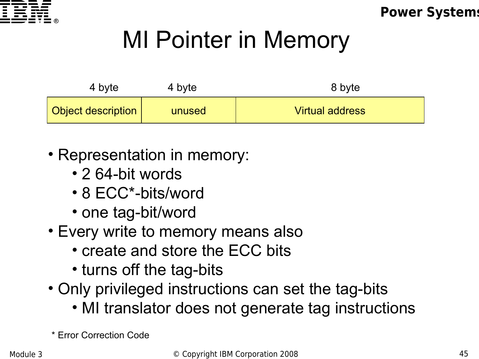

## MI Pointer in Memory

| 4 byte                    | 4 byte | 8 byte                 |
|---------------------------|--------|------------------------|
| <b>Object description</b> | unused | <b>Virtual address</b> |

- Representation in memory:
	- 2 64-bit words
	- 8 ECC\*-bits/word
	- one tag-bit/word
- Every write to memory means also
	- create and store the ECC bits
	- turns off the tag-bits
- Only privileged instructions can set the tag-bits
	- MI translator does not generate tag instructions

\* Error Correction Code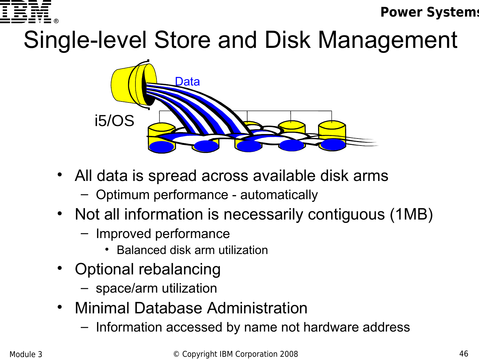

# Single-level Store and Disk Management



- All data is spread across available disk arms
	- Optimum performance automatically
- Not all information is necessarily contiguous (1MB)
	- Improved performance
		- Balanced disk arm utilization
- Optional rebalancing
	- space/arm utilization
- Minimal Database Administration
	- Information accessed by name not hardware address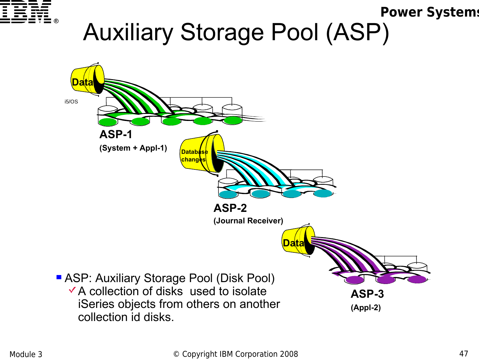

# Auxiliary Storage Pool (ASP)

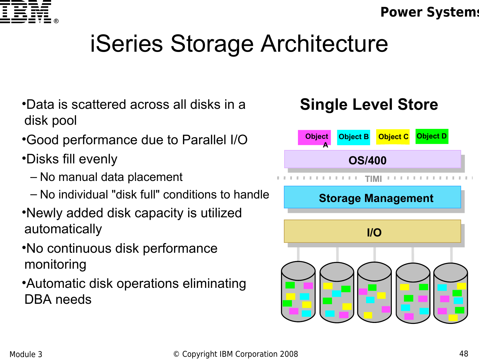

# iSeries Storage Architecture

- •Data is scattered across all disks in a disk pool
- •Good performance due to Parallel I/O
- •Disks fill evenly
	- No manual data placement
	- No individual "disk full" conditions to handle
- •Newly added disk capacity is utilized automatically
- •No continuous disk performance monitoring
- •Automatic disk operations eliminating DBA needs

#### **Single Level Store**

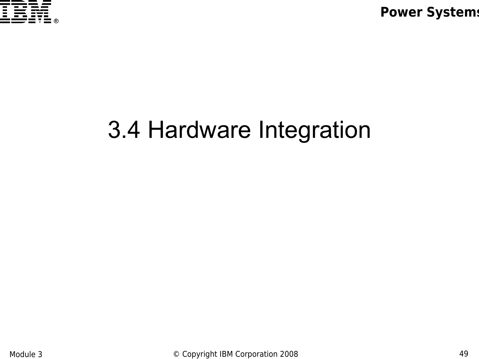

## 3.4 Hardware Integration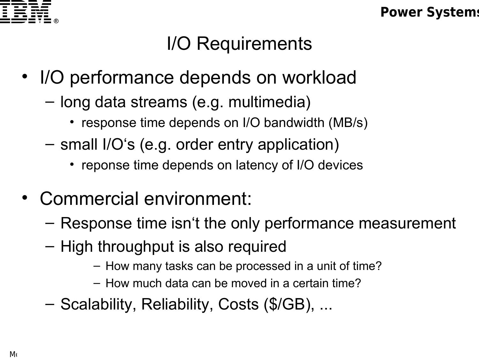

#### I/O Requirements

- I/O performance depends on workload
	- long data streams (e.g. multimedia)
		- response time depends on I/O bandwidth (MB/s)
	- small I/O's (e.g. order entry application)
		- reponse time depends on latency of I/O devices
- Commercial environment:
	- Response time isn't the only performance measurement
	- High throughput is also required
		- How many tasks can be processed in a unit of time?
		- How much data can be moved in a certain time?
	- Scalability, Reliability, Costs (\$/GB), ...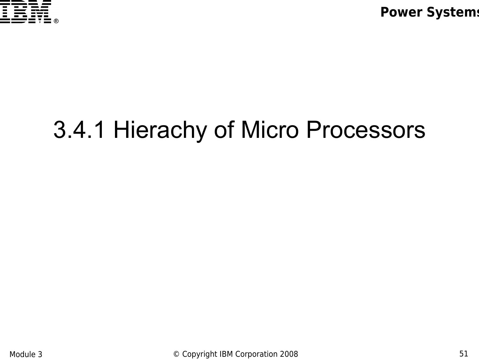

## 3.4.1 Hierachy of Micro Processors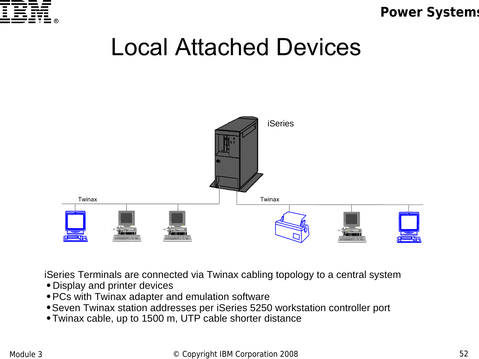

### Local Attached Devices



iSeries Terminals are connected via Twinax cabling topology to a central system

- Display and printer devices
- PCs with Twinax adapter and emulation software
- Seven Twinax station addresses per iSeries 5250 workstation controller port
- Twinax cable, up to 1500 m, UTP cable shorter distance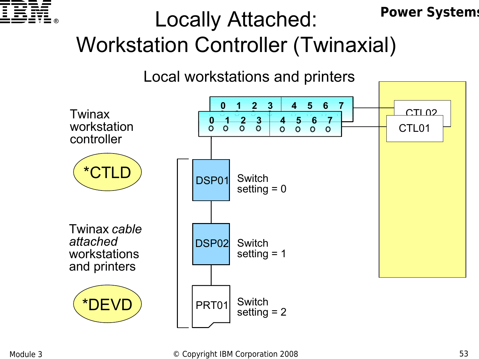

#### **Power Systems** Locally Attached: Workstation Controller (Twinaxial)

Local workstations and printers

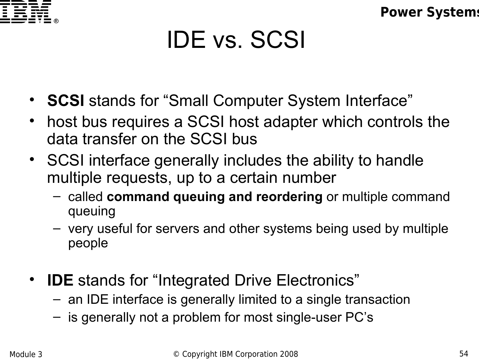

## IDE vs. SCSI

- **SCSI** stands for "Small Computer System Interface"
- host bus requires a SCSI host adapter which controls the data transfer on the SCSI bus
- SCSI interface generally includes the ability to handle multiple requests, up to a certain number
	- called **command queuing and reordering** or multiple command queuing
	- very useful for servers and other systems being used by multiple people
- **IDE** stands for "Integrated Drive Electronics"
	- an IDE interface is generally limited to a single transaction
	- is generally not a problem for most single-user PC's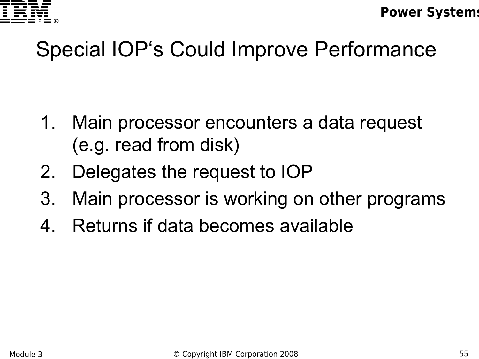

### Special IOP's Could Improve Performance

- 1. Main processor encounters a data request (e.g. read from disk)
- 2. Delegates the request to IOP
- 3. Main processor is working on other programs
- 4. Returns if data becomes available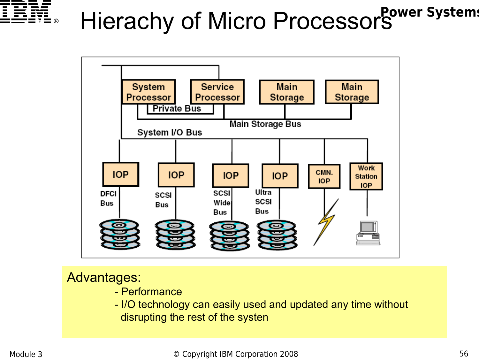

# **Hierachy of Micro ProcessorS** Power Systems



#### Advantages:

- Performance
- I/O technology can easily used and updated any time without disrupting the rest of the systen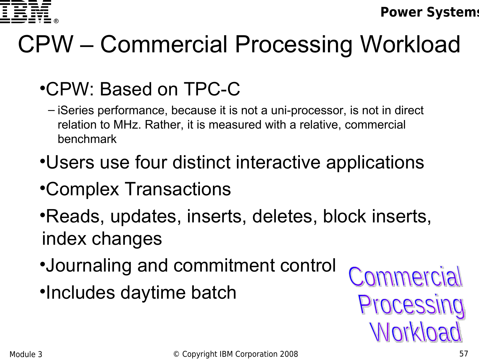

# CPW – Commercial Processing Workload

#### •CPW: Based on TPC-C

- iSeries performance, because it is not a uni-processor, is not in direct relation to MHz. Rather, it is measured with a relative, commercial benchmark
- •Users use four distinct interactive applications
- •Complex Transactions
- •Reads, updates, inserts, deletes, block inserts, index changes
- •Journaling and commitment control
- •Includes daytime batch

Commercial Processing **Morkload**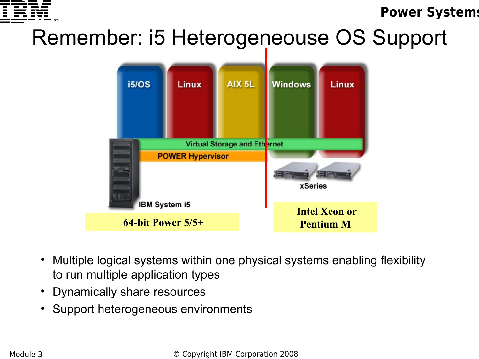

### Remember: i5 Heterogeneouse OS Support



- Multiple logical systems within one physical systems enabling flexibility to run multiple application types
- Dynamically share resources  $T_{\rm eff}$  presentation contains information about IBM's plans and directions. Such plans are subject to change to change
- Support heterogeneous environments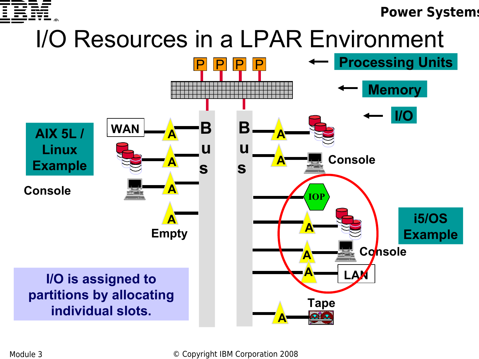

## I/O Resources in a LPAR Environment

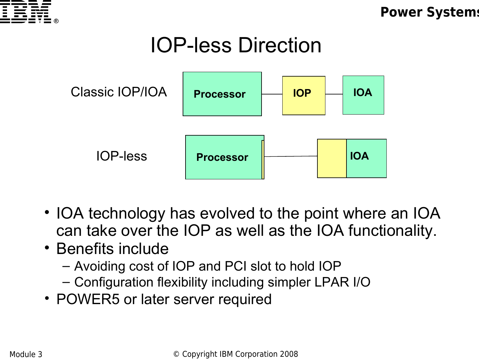

### IOP-less Direction



- IOA technology has evolved to the point where an IOA can take over the IOP as well as the IOA functionality.
- Benefits include
	- Avoiding cost of IOP and PCI slot to hold IOP
	- Configuration flexibility including simpler LPAR I/O
- POWER5 or later server required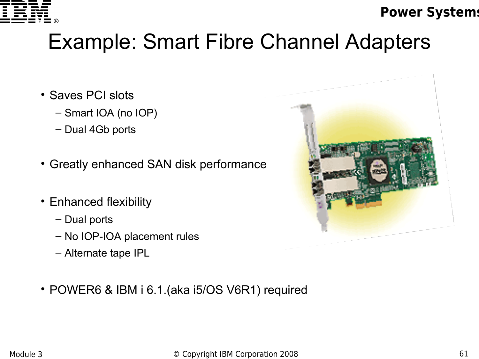

### Example: Smart Fibre Channel Adapters

- Saves PCI slots
	- Smart IOA (no IOP)
	- Dual 4Gb ports
- Greatly enhanced SAN disk performance
- Enhanced flexibility
	- Dual ports
	- No IOP-IOA placement rules
	- Alternate tape IPL



• POWER6 & IBM i 6.1.(aka i5/OS V6R1) required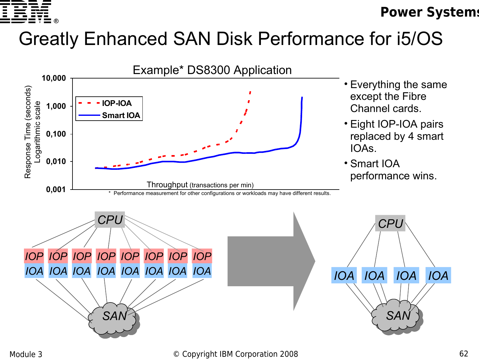

#### Greatly Enhanced SAN Disk Performance for i5/OS

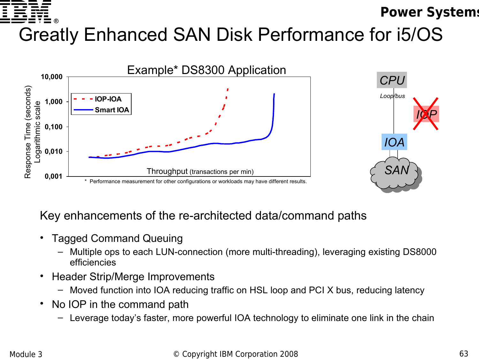#### **Power Systems** Greatly Enhanced SAN Disk Performance for i5/OS





#### Key enhancements of the re-architected data/command paths

- Tagged Command Queuing
	- Multiple ops to each LUN-connection (more multi-threading), leveraging existing DS8000 efficiencies
- Header Strip/Merge Improvements
	- Moved function into IOA reducing traffic on HSL loop and PCI X bus, reducing latency
- No IOP in the command path
	- Leverage today's faster, more powerful IOA technology to eliminate one link in the chain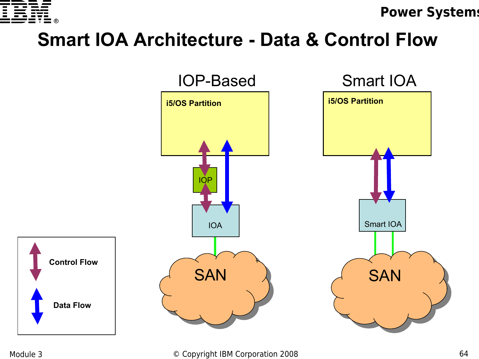

#### **Smart IOA Architecture - Data & Control Flow**



#### Module 3 **Details Accept Convenight IBM Corporation 2008** 64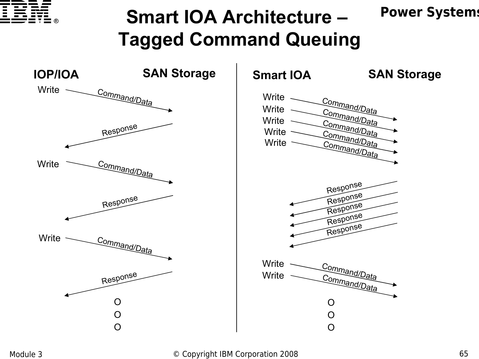

#### **Power Systems Smart IOA Architecture – Tagged Command Queuing**

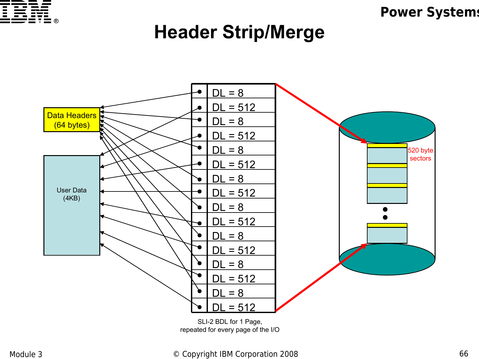

#### **Header Strip/Merge**



#### Module 3 **Details Accept Convention Convention 2008 Module 3** 66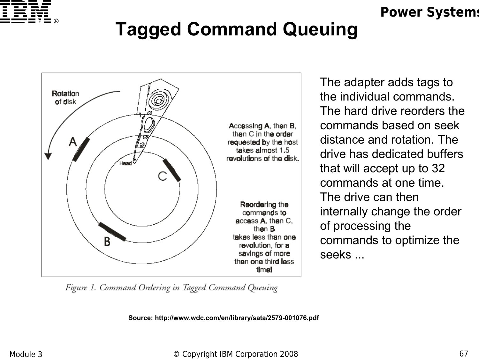

### **Tagged Command Queuing**



The adapter adds tags to the individual commands. The hard drive reorders the commands based on seek distance and rotation. The drive has dedicated buffers that will accept up to 32 commands at one time. The drive can then internally change the order of processing the commands to optimize the seeks ...

Figure 1. Command Ordering in Tagged Command Queuing

**Source: http://www.wdc.com/en/library/sata/2579-001076.pdf**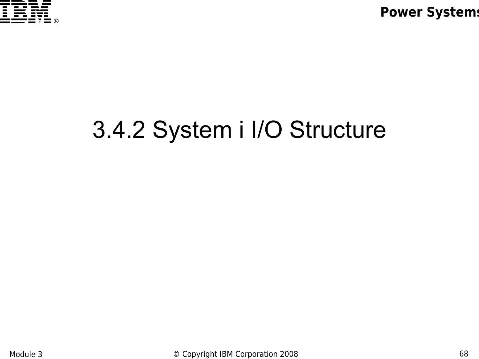

## 3.4.2 System i I/O Structure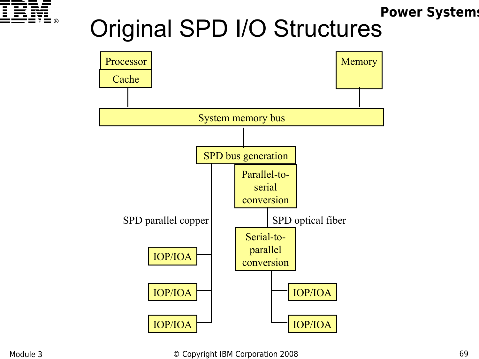

## Original SPD I/O Structures

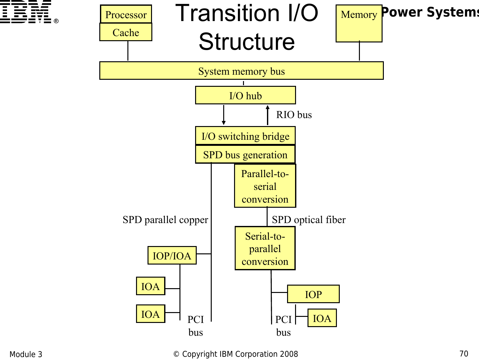



Module 3 **Details Accept Convention Convention 2008 Module 3 Copyright IBM Corporation 2008**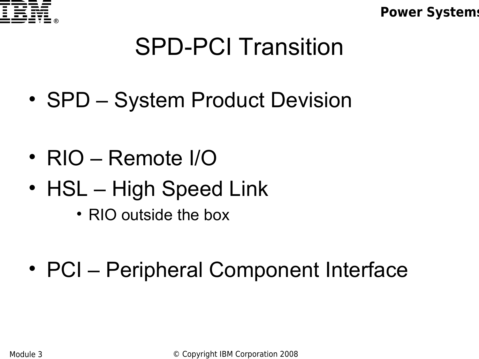

## SPD-PCI Transition

- SPD System Product Devision
- RIO Remote I/O
- HSL High Speed Link
	- RIO outside the box
- PCI Peripheral Component Interface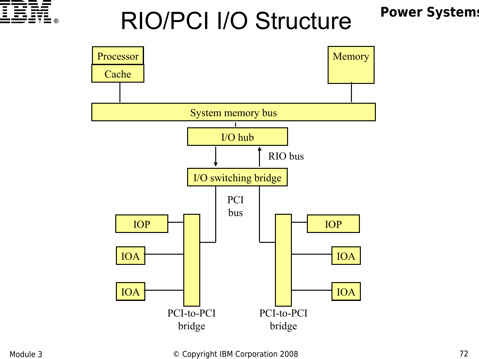

## RIO/PCI I/O Structure

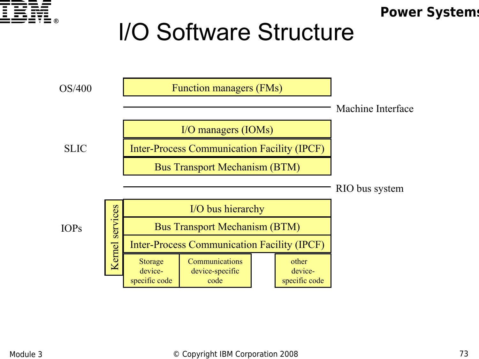

## I/O Software Structure

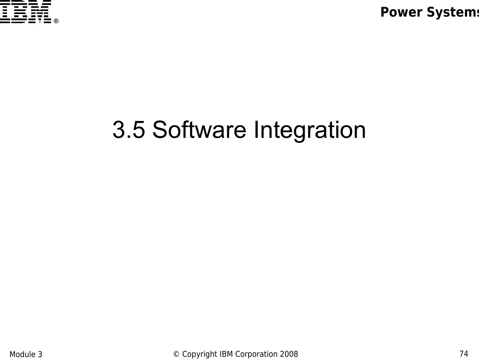

# 3.5 Software Integration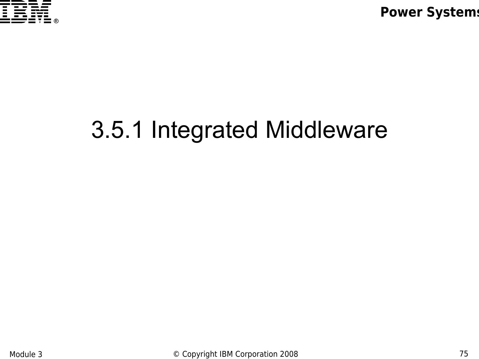

# 3.5.1 Integrated Middleware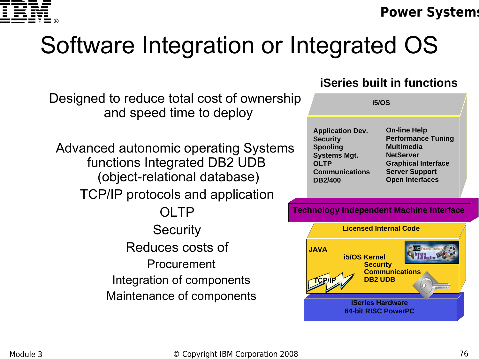

# Software Integration or Integrated OS

Designed to reduce total cost of ownership and speed time to deploy

Advanced autonomic operating Systems functions Integrated DB2 UDB (object-relational database) TCP/IP protocols and application **OLTP Security** Reduces costs of Procurement Integration of components Maintenance of components

### **iSeries built in functions**

| <b>i5/OS</b>                       |                                                  |  |
|------------------------------------|--------------------------------------------------|--|
| <b>Application Dev.</b>            | <b>On-line Help</b><br><b>Performance Tuning</b> |  |
| <b>Security</b><br><b>Spooling</b> | <b>Multimedia</b>                                |  |
| <b>Systems Mgt.</b><br><b>OLTP</b> | <b>NetServer</b><br><b>Graphical Interface</b>   |  |
| <b>Communications</b>              | <b>Server Support</b>                            |  |
| <b>DB2/400</b>                     | <b>Open Interfaces</b>                           |  |

#### **Technology Independent Machine Interface**

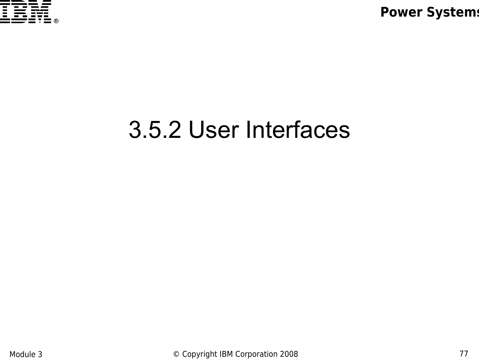

### 3.5.2 User Interfaces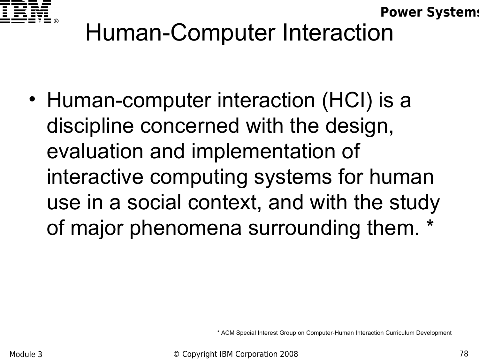

# Human-Computer Interaction

• Human-computer interaction (HCI) is a discipline concerned with the design, evaluation and implementation of interactive computing systems for human use in a social context, and with the study of major phenomena surrounding them. \*

\* ACM Special Interest Group on Computer-Human Interaction Curriculum Development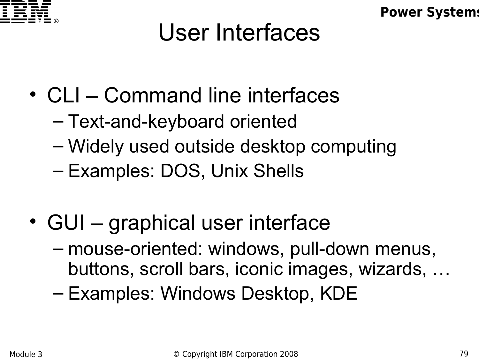

## User Interfaces

- CLI Command line interfaces
	- Text-and-keyboard oriented
	- Widely used outside desktop computing
	- Examples: DOS, Unix Shells
- GUI graphical user interface
	- mouse-oriented: windows, pull-down menus, buttons, scroll bars, iconic images, wizards, …
	- Examples: Windows Desktop, KDE